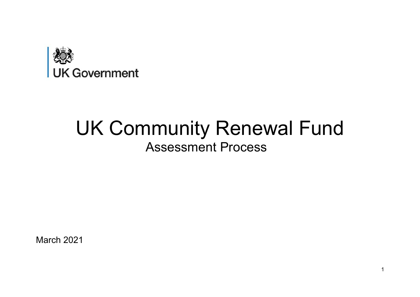

# UK Community Renewal Fund Assessment Process

March 2021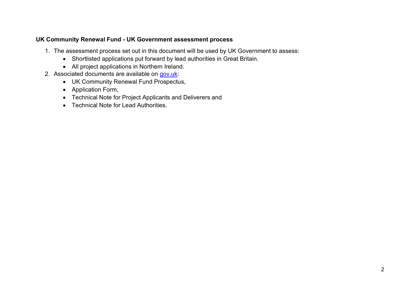#### **UK Community Renewal Fund - UK Government assessment process**

- 1. The assessment process set out in this document will be used by UK Government to assess:
	- Shortlisted applications put forward by lead authorities in Great Britain.
	- All project applications in Northern Ireland.
- 2. Associated documents are available on [gov.uk:](https://www.gov.uk/government/publications/uk-community-renewal-fund-prospectus)
	- UK Community Renewal Fund Prospectus,
	- Application Form,
	- Technical Note for Project Applicants and Deliverers and
	- Technical Note for Lead Authorities.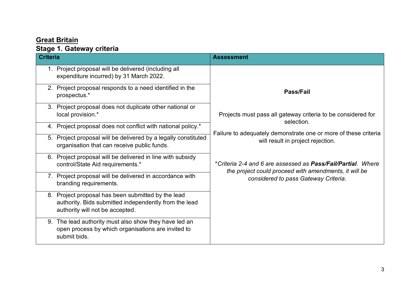## **Great Britain**

# **Stage 1. Gateway criteria**

| <b>Criteria</b> |                                                                                                                                                | <b>Assessment</b>                                                                                                     |
|-----------------|------------------------------------------------------------------------------------------------------------------------------------------------|-----------------------------------------------------------------------------------------------------------------------|
| 1.              | Project proposal will be delivered (including all<br>expenditure incurred) by 31 March 2022.                                                   |                                                                                                                       |
|                 | 2. Project proposal responds to a need identified in the<br>prospectus.*                                                                       | <b>Pass/Fail</b>                                                                                                      |
| 3.              | Project proposal does not duplicate other national or<br>local provision.*                                                                     | Projects must pass all gateway criteria to be considered for<br>selection.                                            |
|                 | 4. Project proposal does not conflict with national policy.*                                                                                   | Failure to adequately demonstrate one or more of these criteria                                                       |
| 5.              | Project proposal will be delivered by a legally constituted<br>organisation that can receive public funds.                                     | will result in project rejection.                                                                                     |
|                 | 6. Project proposal will be delivered in line with subsidy<br>control/State Aid requirements.*                                                 | *Criteria 2-4 and 6 are assessed as Pass/Fail/Partial. Where<br>the project could proceed with amendments, it will be |
|                 | 7. Project proposal will be delivered in accordance with<br>branding requirements.                                                             | considered to pass Gateway Criteria.                                                                                  |
|                 | 8. Project proposal has been submitted by the lead<br>authority. Bids submitted independently from the lead<br>authority will not be accepted. |                                                                                                                       |
|                 | 9. The lead authority must also show they have led an<br>open process by which organisations are invited to<br>submit bids.                    |                                                                                                                       |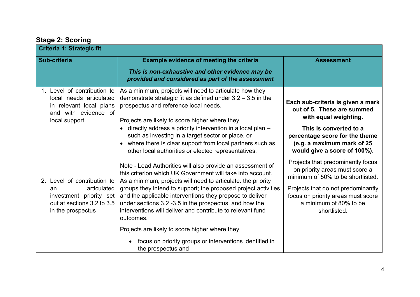| <b>Criteria 1: Strategic fit</b>                                                                                               |                                                                                                                                                                                                                                                                                                                                                                                                                                                             |                                                                                                                                                                                                                                |
|--------------------------------------------------------------------------------------------------------------------------------|-------------------------------------------------------------------------------------------------------------------------------------------------------------------------------------------------------------------------------------------------------------------------------------------------------------------------------------------------------------------------------------------------------------------------------------------------------------|--------------------------------------------------------------------------------------------------------------------------------------------------------------------------------------------------------------------------------|
| Sub-criteria                                                                                                                   | <b>Example evidence of meeting the criteria</b><br>This is non-exhaustive and other evidence may be<br>provided and considered as part of the assessment                                                                                                                                                                                                                                                                                                    | <b>Assessment</b>                                                                                                                                                                                                              |
| 1. Level of contribution to<br>local needs articulated<br>in relevant local plans<br>and with evidence of<br>local support.    | As a minimum, projects will need to articulate how they<br>demonstrate strategic fit as defined under $3.2 - 3.5$ in the<br>prospectus and reference local needs.<br>Projects are likely to score higher where they<br>directly address a priority intervention in a local plan -<br>such as investing in a target sector or place, or<br>where there is clear support from local partners such as<br>other local authorities or elected representatives.   | Each sub-criteria is given a mark<br>out of 5. These are summed<br>with equal weighting.<br>This is converted to a<br>percentage score for the theme<br>(e.g. a maximum mark of 25<br>would give a score of 100%).             |
| 2. Level of contribution to<br>articulated<br>an<br>investment priority set<br>out at sections 3.2 to 3.5<br>in the prospectus | Note - Lead Authorities will also provide an assessment of<br>this criterion which UK Government will take into account.<br>As a minimum, projects will need to articulate: the priority<br>groups they intend to support; the proposed project activities<br>and the applicable interventions they propose to deliver<br>under sections 3.2 -3.5 in the prospectus; and how the<br>interventions will deliver and contribute to relevant fund<br>outcomes. | Projects that predominantly focus<br>on priority areas must score a<br>minimum of 50% to be shortlisted.<br>Projects that do not predominantly<br>focus on priority areas must score<br>a minimum of 80% to be<br>shortlisted. |
|                                                                                                                                | Projects are likely to score higher where they<br>focus on priority groups or interventions identified in<br>the prospectus and                                                                                                                                                                                                                                                                                                                             |                                                                                                                                                                                                                                |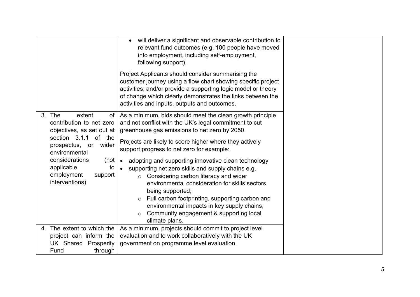|                                                                                                                                                                                                                                                 | will deliver a significant and observable contribution to<br>relevant fund outcomes (e.g. 100 people have moved<br>into employment, including self-employment,<br>following support).                                                                                                                                                                                                                                                                                                                                                                                                                                                                                                                                  |  |
|-------------------------------------------------------------------------------------------------------------------------------------------------------------------------------------------------------------------------------------------------|------------------------------------------------------------------------------------------------------------------------------------------------------------------------------------------------------------------------------------------------------------------------------------------------------------------------------------------------------------------------------------------------------------------------------------------------------------------------------------------------------------------------------------------------------------------------------------------------------------------------------------------------------------------------------------------------------------------------|--|
|                                                                                                                                                                                                                                                 | Project Applicants should consider summarising the<br>customer journey using a flow chart showing specific project<br>activities; and/or provide a supporting logic model or theory<br>of change which clearly demonstrates the links between the<br>activities and inputs, outputs and outcomes.                                                                                                                                                                                                                                                                                                                                                                                                                      |  |
| 3. The<br>extent<br>оf<br>contribution to net zero<br>objectives, as set out at<br>section 3.1.1 of the<br>prospectus,<br>wider<br>or<br>environmental<br>considerations<br>(not<br>applicable<br>to<br>employment<br>support<br>interventions) | As a minimum, bids should meet the clean growth principle<br>and not conflict with the UK's legal commitment to cut<br>greenhouse gas emissions to net zero by 2050.<br>Projects are likely to score higher where they actively<br>support progress to net zero for example:<br>adopting and supporting innovative clean technology<br>$\bullet$<br>supporting net zero skills and supply chains e.g.<br>$\bullet$<br>Considering carbon literacy and wider<br>$\circ$<br>environmental consideration for skills sectors<br>being supported;<br>Full carbon footprinting, supporting carbon and<br>$\circ$<br>environmental impacts in key supply chains;<br>Community engagement & supporting local<br>climate plans. |  |
| 4. The extent to which the<br>project can inform the<br><b>UK Shared Prosperity</b>                                                                                                                                                             | As a minimum, projects should commit to project level<br>evaluation and to work collaboratively with the UK<br>government on programme level evaluation.                                                                                                                                                                                                                                                                                                                                                                                                                                                                                                                                                               |  |
| Fund<br>through                                                                                                                                                                                                                                 |                                                                                                                                                                                                                                                                                                                                                                                                                                                                                                                                                                                                                                                                                                                        |  |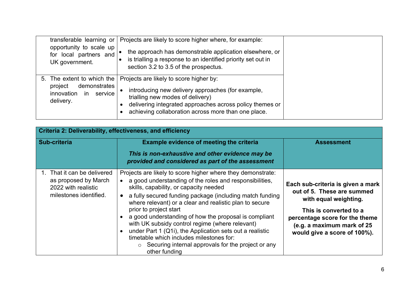| transferable learning or<br>opportunity to scale up<br>for local partners and<br>UK government.          | Projects are likely to score higher where, for example:<br>the approach has demonstrable application elsewhere, or<br>is trialling a response to an identified priority set out in<br>section 3.2 to 3.5 of the prospectus.                         |  |
|----------------------------------------------------------------------------------------------------------|-----------------------------------------------------------------------------------------------------------------------------------------------------------------------------------------------------------------------------------------------------|--|
| 5. The extent to which the<br>demonstrates<br>project<br>innovation<br>service<br><b>in</b><br>delivery. | Projects are likely to score higher by:<br>introducing new delivery approaches (for example,<br>trialling new modes of delivery)<br>delivering integrated approaches across policy themes or<br>achieving collaboration across more than one place. |  |

|                                                                                                      | Criteria 2: Deliverability, effectiveness, and efficiency                                                                                                                                                                                                                                                                                                                                                                                                                                                                                                                                                                                      |                                                                                                                                                                                                                    |  |
|------------------------------------------------------------------------------------------------------|------------------------------------------------------------------------------------------------------------------------------------------------------------------------------------------------------------------------------------------------------------------------------------------------------------------------------------------------------------------------------------------------------------------------------------------------------------------------------------------------------------------------------------------------------------------------------------------------------------------------------------------------|--------------------------------------------------------------------------------------------------------------------------------------------------------------------------------------------------------------------|--|
| Sub-criteria                                                                                         | <b>Example evidence of meeting the criteria</b>                                                                                                                                                                                                                                                                                                                                                                                                                                                                                                                                                                                                | <b>Assessment</b>                                                                                                                                                                                                  |  |
|                                                                                                      | This is non-exhaustive and other evidence may be<br>provided and considered as part of the assessment                                                                                                                                                                                                                                                                                                                                                                                                                                                                                                                                          |                                                                                                                                                                                                                    |  |
| 1. That it can be delivered<br>as proposed by March<br>2022 with realistic<br>milestones identified. | Projects are likely to score higher where they demonstrate:<br>a good understanding of the roles and responsibilities,<br>skills, capability, or capacity needed<br>a fully secured funding package (including match funding<br>$\bullet$<br>where relevant) or a clear and realistic plan to secure<br>prior to project start<br>a good understanding of how the proposal is compliant<br>with UK subsidy control regime (where relevant)<br>under Part 1 (Q1i), the Application sets out a realistic<br>$\bullet$<br>timetable which includes milestones for:<br>$\circ$ Securing internal approvals for the project or any<br>other funding | Each sub-criteria is given a mark<br>out of 5. These are summed<br>with equal weighting.<br>This is converted to a<br>percentage score for the theme<br>(e.g. a maximum mark of 25<br>would give a score of 100%). |  |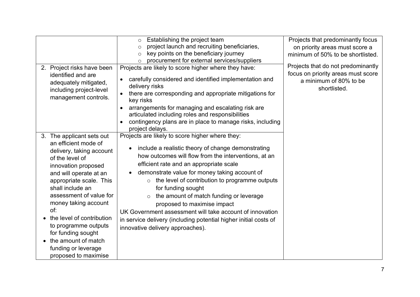| 2. Project risks have been<br>identified and are<br>adequately mitigated,<br>including project-level<br>management controls.                                                                                                                                                                                                                                                                                | Establishing the project team<br>$\circ$<br>project launch and recruiting beneficiaries,<br>$\circ$<br>key points on the beneficiary journey<br>$\circ$<br>procurement for external services/suppliers<br>$\circ$<br>Projects are likely to score higher where they have:<br>carefully considered and identified implementation and<br>$\bullet$<br>delivery risks<br>there are corresponding and appropriate mitigations for<br>$\bullet$<br>key risks<br>arrangements for managing and escalating risk are<br>$\bullet$<br>articulated including roles and responsibilities<br>contingency plans are in place to manage risks, including<br>project delays. | Projects that predominantly focus<br>on priority areas must score a<br>minimum of 50% to be shortlisted.<br>Projects that do not predominantly<br>focus on priority areas must score<br>a minimum of 80% to be<br>shortlisted. |
|-------------------------------------------------------------------------------------------------------------------------------------------------------------------------------------------------------------------------------------------------------------------------------------------------------------------------------------------------------------------------------------------------------------|---------------------------------------------------------------------------------------------------------------------------------------------------------------------------------------------------------------------------------------------------------------------------------------------------------------------------------------------------------------------------------------------------------------------------------------------------------------------------------------------------------------------------------------------------------------------------------------------------------------------------------------------------------------|--------------------------------------------------------------------------------------------------------------------------------------------------------------------------------------------------------------------------------|
| 3. The applicant sets out<br>an efficient mode of<br>delivery, taking account<br>of the level of<br>innovation proposed<br>and will operate at an<br>appropriate scale. This<br>shall include an<br>assessment of value for<br>money taking account<br>of:<br>the level of contribution<br>to programme outputs<br>for funding sought<br>the amount of match<br>funding or leverage<br>proposed to maximise | Projects are likely to score higher where they:<br>include a realistic theory of change demonstrating<br>$\bullet$<br>how outcomes will flow from the interventions, at an<br>efficient rate and an appropriate scale<br>demonstrate value for money taking account of<br>the level of contribution to programme outputs<br>$\circ$<br>for funding sought<br>the amount of match funding or leverage<br>proposed to maximise impact<br>UK Government assessment will take account of innovation<br>in service delivery (including potential higher initial costs of<br>innovative delivery approaches).                                                       |                                                                                                                                                                                                                                |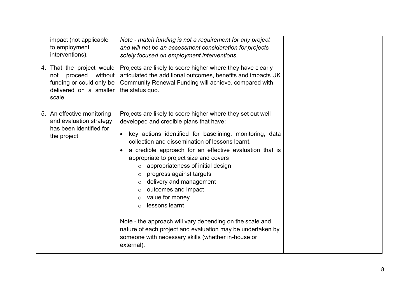| impact (not applicable<br>to employment<br>interventions).<br>4. That the project would<br>proceed<br>without  <br>not<br>funding or could only be<br>delivered on a smaller<br>scale. | Note - match funding is not a requirement for any project<br>and will not be an assessment consideration for projects<br>solely focused on employment interventions.<br>Projects are likely to score higher where they have clearly<br>articulated the additional outcomes, benefits and impacts UK<br>Community Renewal Funding will achieve, compared with<br>the status quo.                                                                                                                                                                                                                                                                                                                                                                                |  |
|----------------------------------------------------------------------------------------------------------------------------------------------------------------------------------------|----------------------------------------------------------------------------------------------------------------------------------------------------------------------------------------------------------------------------------------------------------------------------------------------------------------------------------------------------------------------------------------------------------------------------------------------------------------------------------------------------------------------------------------------------------------------------------------------------------------------------------------------------------------------------------------------------------------------------------------------------------------|--|
| 5. An effective monitoring<br>and evaluation strategy<br>has been identified for<br>the project.                                                                                       | Projects are likely to score higher where they set out well<br>developed and credible plans that have:<br>key actions identified for baselining, monitoring, data<br>$\bullet$<br>collection and dissemination of lessons learnt.<br>a credible approach for an effective evaluation that is<br>appropriate to project size and covers<br>appropriateness of initial design<br>$\circ$<br>progress against targets<br>$\circ$<br>delivery and management<br>$\circ$<br>outcomes and impact<br>$\circ$<br>value for money<br>$\circ$<br>lessons learnt<br>$\circ$<br>Note - the approach will vary depending on the scale and<br>nature of each project and evaluation may be undertaken by<br>someone with necessary skills (whether in-house or<br>external). |  |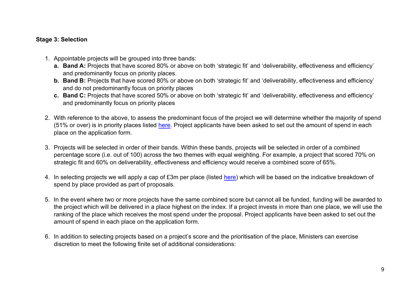#### **Stage 3: Selection**

- 1. Appointable projects will be grouped into three bands:
	- **a. Band A:** Projects that have scored 80% or above on both 'strategic fit' and 'deliverability, effectiveness and efficiency' and predominantly focus on priority places.
	- **b. Band B:** Projects that have scored 80% or above on both 'strategic fit' and 'deliverability, effectiveness and efficiency' and do not predominantly focus on priority places
	- **c. Band C:** Projects that have scored 50% or above on both 'strategic fit' and 'deliverability, effectiveness and efficiency' and predominantly focus on priority places
- 2. With reference to the above, to assess the predominant focus of the project we will determine whether the majority of spend (51% or over) is in priority places listed [here.](https://www.gov.uk/government/publications/uk-community-renewal-fund-prospectus) Project applicants have been asked to set out the amount of spend in each place on the application form.
- 3. Projects will be selected in order of their bands. Within these bands, projects will be selected in order of a combined percentage score (i.e. out of 100) across the two themes with equal weighting. For example, a project that scored 70% on strategic fit and 60% on deliverability, effectiveness and efficiency would receive a combined score of 65%.
- 4. In selecting projects we will apply a cap of £3m per place (listed [here\)](https://www.gov.uk/government/publications/uk-community-renewal-fund-prospectus) which will be based on the indicative breakdown of spend by place provided as part of proposals.
- 5. In the event where two or more projects have the same combined score but cannot all be funded, funding will be awarded to the project which will be delivered in a place highest on the index. If a project invests in more than one place, we will use the ranking of the place which receives the most spend under the proposal. Project applicants have been asked to set out the amount of spend in each place on the application form.
- 6. In addition to selecting projects based on a project's score and the prioritisation of the place, Ministers can exercise discretion to meet the following finite set of additional considerations: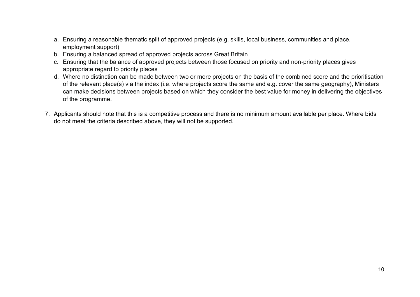- a. Ensuring a reasonable thematic split of approved projects (e.g. skills, local business, communities and place, employment support)
- b. Ensuring a balanced spread of approved projects across Great Britain
- c. Ensuring that the balance of approved projects between those focused on priority and non-priority places gives appropriate regard to priority places
- d. Where no distinction can be made between two or more projects on the basis of the combined score and the prioritisation of the relevant place(s) via the index (i.e. where projects score the same and e.g. cover the same geography), Ministers can make decisions between projects based on which they consider the best value for money in delivering the objectives of the programme.
- 7. Applicants should note that this is a competitive process and there is no minimum amount available per place. Where bids do not meet the criteria described above, they will not be supported.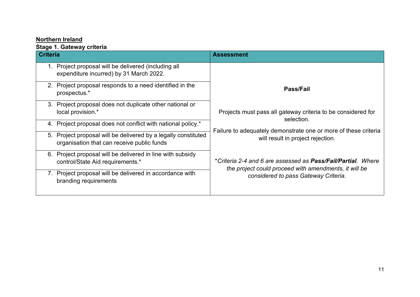## **Northern Ireland**

### **Stage 1. Gateway criteria**

| <b>Criteria</b><br><b>Assessment</b>                                                                            |                                                                                                                       |
|-----------------------------------------------------------------------------------------------------------------|-----------------------------------------------------------------------------------------------------------------------|
| Project proposal will be delivered (including all<br>expenditure incurred) by 31 March 2022.                    |                                                                                                                       |
| Project proposal responds to a need identified in the<br>2.<br>prospectus.*                                     | <b>Pass/Fail</b>                                                                                                      |
| Project proposal does not duplicate other national or<br>3.<br>local provision.*                                | Projects must pass all gateway criteria to be considered for<br>selection.                                            |
| 4. Project proposal does not conflict with national policy.*                                                    |                                                                                                                       |
| Project proposal will be delivered by a legally constituted<br>5.<br>organisation that can receive public funds | Failure to adequately demonstrate one or more of these criteria<br>will result in project rejection.                  |
| Project proposal will be delivered in line with subsidy<br>6.<br>control/State Aid requirements.*               | *Criteria 2-4 and 6 are assessed as Pass/Fail/Partial. Where<br>the project could proceed with amendments, it will be |
| Project proposal will be delivered in accordance with<br>branding requirements                                  | considered to pass Gateway Criteria.                                                                                  |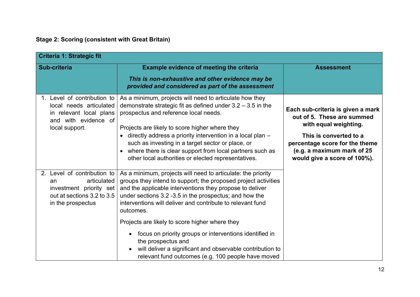## **Stage 2: Scoring (consistent with Great Britain)**

| <b>Criteria 1: Strategic fit</b>                                                                                               |                                                                                                                                                                                                                                                                                                                                                                                                                                                                        |                                                                                                                                                                                                                    |
|--------------------------------------------------------------------------------------------------------------------------------|------------------------------------------------------------------------------------------------------------------------------------------------------------------------------------------------------------------------------------------------------------------------------------------------------------------------------------------------------------------------------------------------------------------------------------------------------------------------|--------------------------------------------------------------------------------------------------------------------------------------------------------------------------------------------------------------------|
| Sub-criteria                                                                                                                   | <b>Example evidence of meeting the criteria</b><br>This is non-exhaustive and other evidence may be<br>provided and considered as part of the assessment                                                                                                                                                                                                                                                                                                               | <b>Assessment</b>                                                                                                                                                                                                  |
| 1. Level of contribution to<br>local needs articulated<br>in relevant local plans<br>and with evidence of<br>local support.    | As a minimum, projects will need to articulate how they<br>demonstrate strategic fit as defined under $3.2 - 3.5$ in the<br>prospectus and reference local needs.<br>Projects are likely to score higher where they<br>directly address a priority intervention in a local plan -<br>$\bullet$<br>such as investing in a target sector or place, or<br>where there is clear support from local partners such as<br>other local authorities or elected representatives. | Each sub-criteria is given a mark<br>out of 5. These are summed<br>with equal weighting.<br>This is converted to a<br>percentage score for the theme<br>(e.g. a maximum mark of 25<br>would give a score of 100%). |
| 2. Level of contribution to<br>articulated<br>an<br>investment priority set<br>out at sections 3.2 to 3.5<br>in the prospectus | As a minimum, projects will need to articulate: the priority<br>groups they intend to support; the proposed project activities<br>and the applicable interventions they propose to deliver<br>under sections 3.2 -3.5 in the prospectus; and how the<br>interventions will deliver and contribute to relevant fund<br>outcomes.                                                                                                                                        |                                                                                                                                                                                                                    |
|                                                                                                                                | Projects are likely to score higher where they<br>focus on priority groups or interventions identified in<br>the prospectus and<br>will deliver a significant and observable contribution to<br>relevant fund outcomes (e.g. 100 people have moved                                                                                                                                                                                                                     |                                                                                                                                                                                                                    |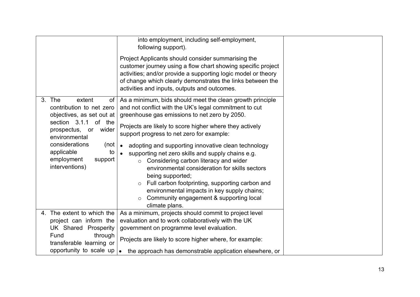|                                                                                                                                                                                                                                                 | into employment, including self-employment,<br>following support).                                                                                                                                                                                                                                                                                                                                                                                                                                                                                                                                                                                                           |  |
|-------------------------------------------------------------------------------------------------------------------------------------------------------------------------------------------------------------------------------------------------|------------------------------------------------------------------------------------------------------------------------------------------------------------------------------------------------------------------------------------------------------------------------------------------------------------------------------------------------------------------------------------------------------------------------------------------------------------------------------------------------------------------------------------------------------------------------------------------------------------------------------------------------------------------------------|--|
|                                                                                                                                                                                                                                                 | Project Applicants should consider summarising the<br>customer journey using a flow chart showing specific project<br>activities; and/or provide a supporting logic model or theory<br>of change which clearly demonstrates the links between the<br>activities and inputs, outputs and outcomes.                                                                                                                                                                                                                                                                                                                                                                            |  |
| 3. The<br>extent<br>of<br>contribution to net zero<br>objectives, as set out at<br>section 3.1.1 of the<br>prospectus,<br>wider<br>or<br>environmental<br>considerations<br>(not<br>applicable<br>to<br>employment<br>support<br>interventions) | As a minimum, bids should meet the clean growth principle<br>and not conflict with the UK's legal commitment to cut<br>greenhouse gas emissions to net zero by 2050.<br>Projects are likely to score higher where they actively<br>support progress to net zero for example:<br>adopting and supporting innovative clean technology<br>$\bullet$<br>supporting net zero skills and supply chains e.g.<br>Considering carbon literacy and wider<br>$\circ$<br>environmental consideration for skills sectors<br>being supported;<br>Full carbon footprinting, supporting carbon and<br>environmental impacts in key supply chains;<br>Community engagement & supporting local |  |
| 4. The extent to which the                                                                                                                                                                                                                      | climate plans.<br>As a minimum, projects should commit to project level                                                                                                                                                                                                                                                                                                                                                                                                                                                                                                                                                                                                      |  |
| project can inform the                                                                                                                                                                                                                          | evaluation and to work collaboratively with the UK                                                                                                                                                                                                                                                                                                                                                                                                                                                                                                                                                                                                                           |  |
| UK Shared Prosperity                                                                                                                                                                                                                            | government on programme level evaluation.                                                                                                                                                                                                                                                                                                                                                                                                                                                                                                                                                                                                                                    |  |
| Fund<br>through<br>transferable learning or                                                                                                                                                                                                     | Projects are likely to score higher where, for example:                                                                                                                                                                                                                                                                                                                                                                                                                                                                                                                                                                                                                      |  |
| opportunity to scale up                                                                                                                                                                                                                         | $\bullet$<br>the approach has demonstrable application elsewhere, or                                                                                                                                                                                                                                                                                                                                                                                                                                                                                                                                                                                                         |  |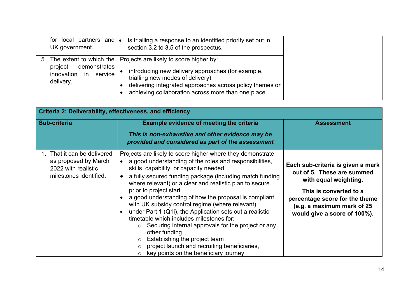| and $  \bullet  $<br>for local partners<br>UK government.                                         |
|---------------------------------------------------------------------------------------------------|
| 5. The extent to which the<br>demonstrates<br>project<br>service<br>innovation<br>in<br>delivery. |

| Criteria 2: Deliverability, effectiveness, and efficiency                                            |                                                                                                                                                                                                                                                                                                                                                                                                                                                                                                                                                                                                                                                                                                                                                                                                                    |                                                                                                                                                                                                                    |  |  |
|------------------------------------------------------------------------------------------------------|--------------------------------------------------------------------------------------------------------------------------------------------------------------------------------------------------------------------------------------------------------------------------------------------------------------------------------------------------------------------------------------------------------------------------------------------------------------------------------------------------------------------------------------------------------------------------------------------------------------------------------------------------------------------------------------------------------------------------------------------------------------------------------------------------------------------|--------------------------------------------------------------------------------------------------------------------------------------------------------------------------------------------------------------------|--|--|
| <b>Sub-criteria</b>                                                                                  | <b>Example evidence of meeting the criteria</b><br>This is non-exhaustive and other evidence may be<br>provided and considered as part of the assessment                                                                                                                                                                                                                                                                                                                                                                                                                                                                                                                                                                                                                                                           | <b>Assessment</b>                                                                                                                                                                                                  |  |  |
| 1. That it can be delivered<br>as proposed by March<br>2022 with realistic<br>milestones identified. | Projects are likely to score higher where they demonstrate:<br>a good understanding of the roles and responsibilities,<br>$\bullet$<br>skills, capability, or capacity needed<br>a fully secured funding package (including match funding<br>$\bullet$<br>where relevant) or a clear and realistic plan to secure<br>prior to project start<br>a good understanding of how the proposal is compliant<br>$\bullet$<br>with UK subsidy control regime (where relevant)<br>under Part 1 (Q1i), the Application sets out a realistic<br>$\bullet$<br>timetable which includes milestones for:<br>$\circ$ Securing internal approvals for the project or any<br>other funding<br>Establishing the project team<br>$\circ$<br>project launch and recruiting beneficiaries,<br>key points on the beneficiary journey<br>O | Each sub-criteria is given a mark<br>out of 5. These are summed<br>with equal weighting.<br>This is converted to a<br>percentage score for the theme<br>(e.g. a maximum mark of 25<br>would give a score of 100%). |  |  |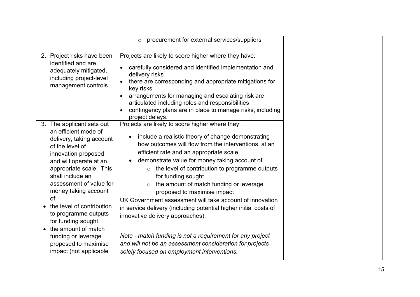|                                                                                                                                                                                                                                                                                                                                                                                                                                       | procurement for external services/suppliers<br>$\circ$                                                                                                                                                                                                                                                                                                                                                                                                                                                                                                                                                                                                                                                                                                             |  |
|---------------------------------------------------------------------------------------------------------------------------------------------------------------------------------------------------------------------------------------------------------------------------------------------------------------------------------------------------------------------------------------------------------------------------------------|--------------------------------------------------------------------------------------------------------------------------------------------------------------------------------------------------------------------------------------------------------------------------------------------------------------------------------------------------------------------------------------------------------------------------------------------------------------------------------------------------------------------------------------------------------------------------------------------------------------------------------------------------------------------------------------------------------------------------------------------------------------------|--|
| 2. Project risks have been<br>identified and are<br>adequately mitigated,<br>including project-level<br>management controls.                                                                                                                                                                                                                                                                                                          | Projects are likely to score higher where they have:<br>carefully considered and identified implementation and<br>$\bullet$<br>delivery risks<br>there are corresponding and appropriate mitigations for<br>$\bullet$<br>key risks<br>arrangements for managing and escalating risk are<br>articulated including roles and responsibilities<br>contingency plans are in place to manage risks, including<br>project delays.                                                                                                                                                                                                                                                                                                                                        |  |
| 3. The applicant sets out<br>an efficient mode of<br>delivery, taking account<br>of the level of<br>innovation proposed<br>and will operate at an<br>appropriate scale. This<br>shall include an<br>assessment of value for<br>money taking account<br>of:<br>the level of contribution<br>to programme outputs<br>for funding sought<br>the amount of match<br>funding or leverage<br>proposed to maximise<br>impact (not applicable | Projects are likely to score higher where they:<br>include a realistic theory of change demonstrating<br>how outcomes will flow from the interventions, at an<br>efficient rate and an appropriate scale<br>demonstrate value for money taking account of<br>the level of contribution to programme outputs<br>$\circ$<br>for funding sought<br>the amount of match funding or leverage<br>proposed to maximise impact<br>UK Government assessment will take account of innovation<br>in service delivery (including potential higher initial costs of<br>innovative delivery approaches).<br>Note - match funding is not a requirement for any project<br>and will not be an assessment consideration for projects<br>solely focused on employment interventions. |  |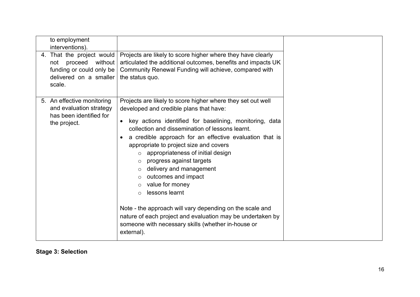| to employment<br>interventions).<br>4. That the project would<br>proceed<br>without  <br>not<br>funding or could only be<br>delivered on a smaller<br>scale. | Projects are likely to score higher where they have clearly<br>articulated the additional outcomes, benefits and impacts UK<br>Community Renewal Funding will achieve, compared with<br>the status quo.                                                                                                                                                                                                                                                                                                                                                                                                                                                                                                                                   |  |
|--------------------------------------------------------------------------------------------------------------------------------------------------------------|-------------------------------------------------------------------------------------------------------------------------------------------------------------------------------------------------------------------------------------------------------------------------------------------------------------------------------------------------------------------------------------------------------------------------------------------------------------------------------------------------------------------------------------------------------------------------------------------------------------------------------------------------------------------------------------------------------------------------------------------|--|
| 5. An effective monitoring<br>and evaluation strategy<br>has been identified for<br>the project.                                                             | Projects are likely to score higher where they set out well<br>developed and credible plans that have:<br>key actions identified for baselining, monitoring, data<br>$\bullet$<br>collection and dissemination of lessons learnt.<br>a credible approach for an effective evaluation that is<br>appropriate to project size and covers<br>appropriateness of initial design<br>progress against targets<br>$\circ$<br>delivery and management<br>outcomes and impact<br>$\circ$<br>value for money<br>$\circ$<br>lessons learnt<br>$\Omega$<br>Note - the approach will vary depending on the scale and<br>nature of each project and evaluation may be undertaken by<br>someone with necessary skills (whether in-house or<br>external). |  |

**Stage 3: Selection**